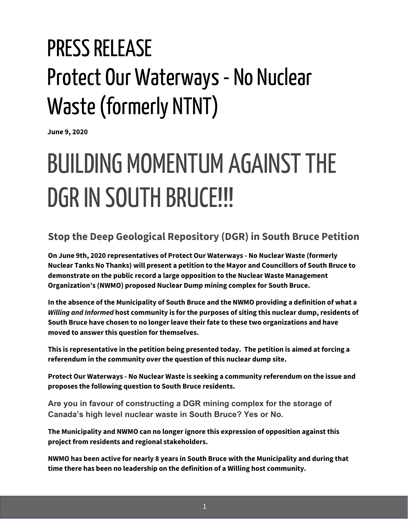## PRESS RELEASE Protect Our Waterways - No Nuclear Waste(formerly NTNT)

**June 9, 2020**

## BUILDING MOMENTUM AGAINST THE DGR IN SOUTH BRUCE!!!

## **Stop the Deep Geological Repository (DGR) in South Bruce Petition**

**On June 9th, 2020 representatives of Protect Our Waterways - No Nuclear Waste (formerly Nuclear Tanks No Thanks) will present a petition to the Mayor and Councillors of South Bruce to demonstrate on the public record a large opposition to the Nuclear Waste Management Organization's (NWMO) proposed Nuclear Dump mining complex for South Bruce.**

**In the absence of the Municipality of South Bruce and the NWMO providing a definition of what a** *Willing and Informed* **host community is for the purposes of siting this nuclear dump, residents of South Bruce have chosen to no longer leave their fate to these two organizations and have moved to answer this question for themselves.**

**This is representative in the petition being presented today. The petition is aimed at forcing a referendum in the community over the question of this nuclear dump site.**

**Protect Our Waterways - No Nuclear Waste is seeking a community referendum on the issue and proposes the following question to South Bruce residents.**

**Are you in favour of constructing a DGR mining complex for the storage of Canada's high level nuclear waste in South Bruce? Yes or No.**

**The Municipality and NWMO can no longer ignore this expression of opposition against this project from residents and regional stakeholders.**

**NWMO has been active for nearly 8 years in South Bruce with the Municipality and during that time there has been no leadership on the definition of a Willing host community.**